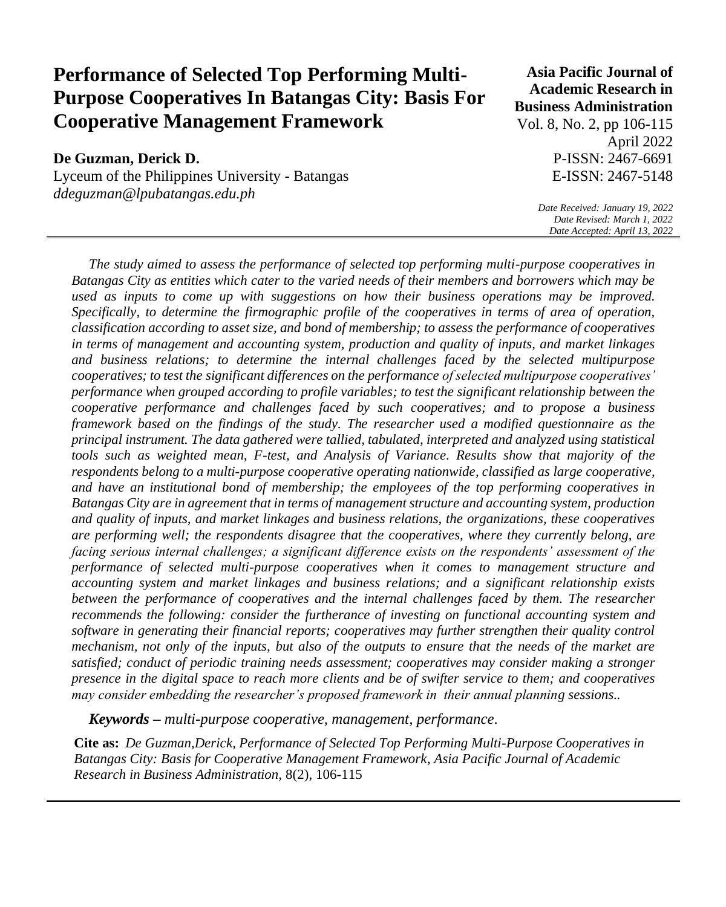# **Performance of Selected Top Performing Multi-Purpose Cooperatives In Batangas City: Basis For Cooperative Management Framework**

# **De Guzman, Derick D.**

Lyceum of the Philippines University - Batangas *ddeguzman@lpubatangas.edu.ph*

# **Asia Pacific Journal of Academic Research in Business Administration**

Vol. 8, No. 2, pp 106-115 April 2022 P-ISSN: 2467-6691 E-ISSN: 2467-5148

> *Date Received: January 19, 2022 Date Revised: March 1, 2022 Date Accepted: April 13, 2022*

*The study aimed to assess the performance of selected top performing multi-purpose cooperatives in Batangas City as entities which cater to the varied needs of their members and borrowers which may be used as inputs to come up with suggestions on how their business operations may be improved. Specifically, to determine the firmographic profile of the cooperatives in terms of area of operation, classification according to asset size, and bond of membership; to assess the performance of cooperatives in terms of management and accounting system, production and quality of inputs, and market linkages and business relations; to determine the internal challenges faced by the selected multipurpose cooperatives; to test the significant differences on the performance of selected multipurpose cooperatives' performance when grouped according to profile variables; to test the significant relationship between the cooperative performance and challenges faced by such cooperatives; and to propose a business framework based on the findings of the study. The researcher used a modified questionnaire as the principal instrument. The data gathered were tallied, tabulated, interpreted and analyzed using statistical tools such as weighted mean, F-test, and Analysis of Variance. Results show that majority of the respondents belong to a multi-purpose cooperative operating nationwide, classified as large cooperative, and have an institutional bond of membership; the employees of the top performing cooperatives in Batangas City are in agreement that in terms of management structure and accounting system, production and quality of inputs, and market linkages and business relations, the organizations, these cooperatives are performing well; the respondents disagree that the cooperatives, where they currently belong, are facing serious internal challenges; a significant difference exists on the respondents' assessment of the performance of selected multi-purpose cooperatives when it comes to management structure and accounting system and market linkages and business relations; and a significant relationship exists between the performance of cooperatives and the internal challenges faced by them. The researcher recommends the following: consider the furtherance of investing on functional accounting system and software in generating their financial reports; cooperatives may further strengthen their quality control mechanism, not only of the inputs, but also of the outputs to ensure that the needs of the market are satisfied; conduct of periodic training needs assessment; cooperatives may consider making a stronger presence in the digital space to reach more clients and be of swifter service to them; and cooperatives may consider embedding the researcher's proposed framework in their annual planning sessions..* 

*Keywords – multi-purpose cooperative, management, performance.*

**Cite as:** *De Guzman,Derick, Performance of Selected Top Performing Multi-Purpose Cooperatives in Batangas City: Basis for Cooperative Management Framework*, *Asia Pacific Journal of Academic Research in Business Administration,* 8(2), 106-115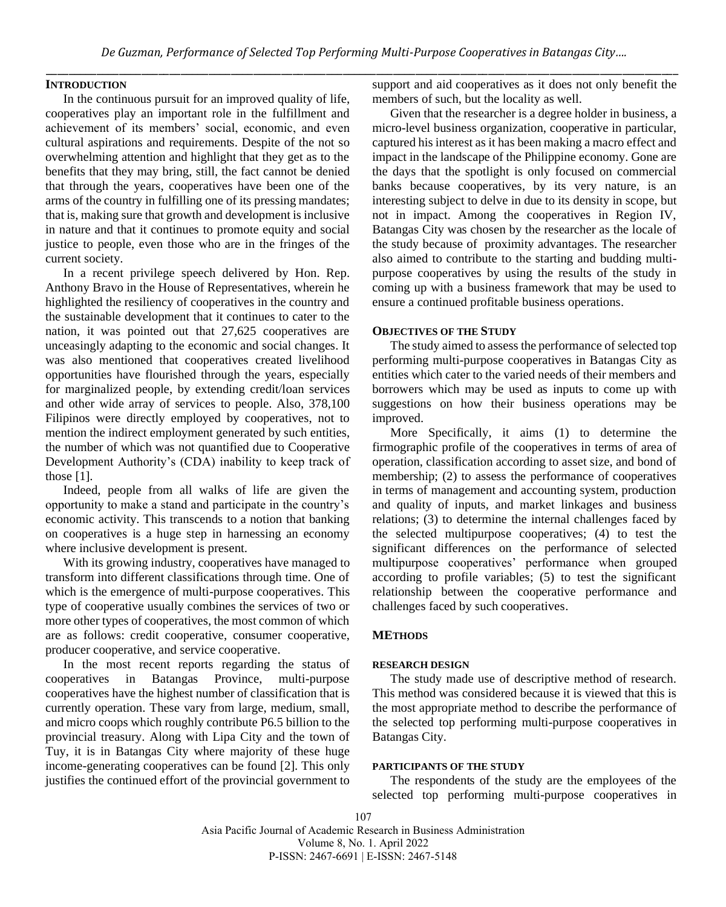## **INTRODUCTION**

In the continuous pursuit for an improved quality of life, cooperatives play an important role in the fulfillment and achievement of its members' social, economic, and even cultural aspirations and requirements. Despite of the not so overwhelming attention and highlight that they get as to the benefits that they may bring, still, the fact cannot be denied that through the years, cooperatives have been one of the arms of the country in fulfilling one of its pressing mandates; that is, making sure that growth and development is inclusive in nature and that it continues to promote equity and social justice to people, even those who are in the fringes of the current society.

In a recent privilege speech delivered by Hon. Rep. Anthony Bravo in the House of Representatives, wherein he highlighted the resiliency of cooperatives in the country and the sustainable development that it continues to cater to the nation, it was pointed out that 27,625 cooperatives are unceasingly adapting to the economic and social changes. It was also mentioned that cooperatives created livelihood opportunities have flourished through the years, especially for marginalized people, by extending credit/loan services and other wide array of services to people. Also, 378,100 Filipinos were directly employed by cooperatives, not to mention the indirect employment generated by such entities, the number of which was not quantified due to Cooperative Development Authority's (CDA) inability to keep track of those [1].

Indeed, people from all walks of life are given the opportunity to make a stand and participate in the country's economic activity. This transcends to a notion that banking on cooperatives is a huge step in harnessing an economy where inclusive development is present.

With its growing industry, cooperatives have managed to transform into different classifications through time. One of which is the emergence of multi-purpose cooperatives. This type of cooperative usually combines the services of two or more other types of cooperatives, the most common of which are as follows: credit cooperative, consumer cooperative, producer cooperative, and service cooperative.

In the most recent reports regarding the status of cooperatives in Batangas Province, multi-purpose cooperatives have the highest number of classification that is currently operation. These vary from large, medium, small, and micro coops which roughly contribute P6.5 billion to the provincial treasury. Along with Lipa City and the town of Tuy, it is in Batangas City where majority of these huge income-generating cooperatives can be found [2]. This only justifies the continued effort of the provincial government to support and aid cooperatives as it does not only benefit the members of such, but the locality as well.

Given that the researcher is a degree holder in business, a micro-level business organization, cooperative in particular, captured his interest as it has been making a macro effect and impact in the landscape of the Philippine economy. Gone are the days that the spotlight is only focused on commercial banks because cooperatives, by its very nature, is an interesting subject to delve in due to its density in scope, but not in impact. Among the cooperatives in Region IV, Batangas City was chosen by the researcher as the locale of the study because of proximity advantages. The researcher also aimed to contribute to the starting and budding multipurpose cooperatives by using the results of the study in coming up with a business framework that may be used to ensure a continued profitable business operations.

#### **OBJECTIVES OF THE STUDY**

The study aimed to assess the performance of selected top performing multi-purpose cooperatives in Batangas City as entities which cater to the varied needs of their members and borrowers which may be used as inputs to come up with suggestions on how their business operations may be improved.

More Specifically, it aims (1) to determine the firmographic profile of the cooperatives in terms of area of operation, classification according to asset size, and bond of membership; (2) to assess the performance of cooperatives in terms of management and accounting system, production and quality of inputs, and market linkages and business relations; (3) to determine the internal challenges faced by the selected multipurpose cooperatives; (4) to test the significant differences on the performance of selected multipurpose cooperatives' performance when grouped according to profile variables; (5) to test the significant relationship between the cooperative performance and challenges faced by such cooperatives.

#### **METHODS**

#### **RESEARCH DESIGN**

The study made use of descriptive method of research. This method was considered because it is viewed that this is the most appropriate method to describe the performance of the selected top performing multi-purpose cooperatives in Batangas City.

## **PARTICIPANTS OF THE STUDY**

The respondents of the study are the employees of the selected top performing multi-purpose cooperatives in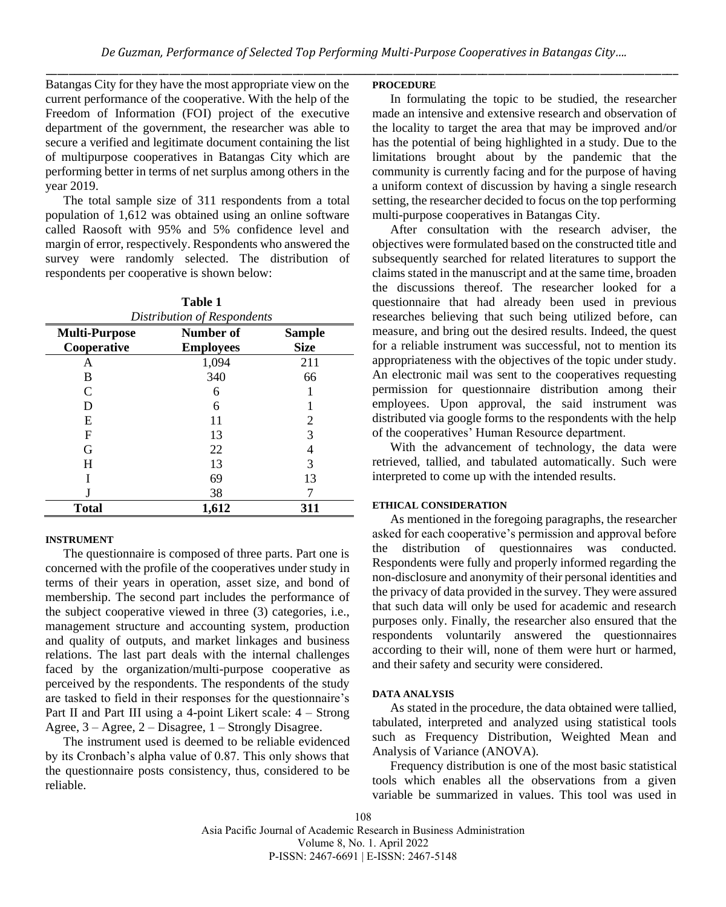Batangas City for they have the most appropriate view on the current performance of the cooperative. With the help of the Freedom of Information (FOI) project of the executive department of the government, the researcher was able to secure a verified and legitimate document containing the list of multipurpose cooperatives in Batangas City which are performing better in terms of net surplus among others in the year 2019.

The total sample size of 311 respondents from a total population of 1,612 was obtained using an online software called Raosoft with 95% and 5% confidence level and margin of error, respectively. Respondents who answered the survey were randomly selected. The distribution of respondents per cooperative is shown below:

**Table 1**

| 1 avit 1<br>Distribution of Respondents |                               |                              |  |  |
|-----------------------------------------|-------------------------------|------------------------------|--|--|
| <b>Multi-Purpose</b><br>Cooperative     | Number of<br><b>Employees</b> | <b>Sample</b><br><b>Size</b> |  |  |
| А                                       | 1,094                         | 211                          |  |  |
| B                                       | 340                           | 66                           |  |  |
| C                                       | 6                             |                              |  |  |
| D                                       | 6                             |                              |  |  |
| E                                       | 11                            | 2                            |  |  |
| F                                       | 13                            | 3                            |  |  |
| G                                       | 22                            | 4                            |  |  |
| H                                       | 13                            | 3                            |  |  |
|                                         | 69                            | 13                           |  |  |
|                                         | 38                            |                              |  |  |
| <b>Total</b>                            | 1,612                         | 311                          |  |  |

#### **INSTRUMENT**

The questionnaire is composed of three parts. Part one is concerned with the profile of the cooperatives under study in terms of their years in operation, asset size, and bond of membership. The second part includes the performance of the subject cooperative viewed in three (3) categories, i.e., management structure and accounting system, production and quality of outputs, and market linkages and business relations. The last part deals with the internal challenges faced by the organization/multi-purpose cooperative as perceived by the respondents. The respondents of the study are tasked to field in their responses for the questionnaire's Part II and Part III using a 4-point Likert scale:  $4 -$  Strong Agree,  $3 -$ Agree,  $2 -$ Disagree,  $1 -$ Strongly Disagree.

The instrument used is deemed to be reliable evidenced by its Cronbach's alpha value of 0.87. This only shows that the questionnaire posts consistency, thus, considered to be reliable.

#### **PROCEDURE**

In formulating the topic to be studied, the researcher made an intensive and extensive research and observation of the locality to target the area that may be improved and/or has the potential of being highlighted in a study. Due to the limitations brought about by the pandemic that the community is currently facing and for the purpose of having a uniform context of discussion by having a single research setting, the researcher decided to focus on the top performing multi-purpose cooperatives in Batangas City.

After consultation with the research adviser, the objectives were formulated based on the constructed title and subsequently searched for related literatures to support the claims stated in the manuscript and at the same time, broaden the discussions thereof. The researcher looked for a questionnaire that had already been used in previous researches believing that such being utilized before, can measure, and bring out the desired results. Indeed, the quest for a reliable instrument was successful, not to mention its appropriateness with the objectives of the topic under study. An electronic mail was sent to the cooperatives requesting permission for questionnaire distribution among their employees. Upon approval, the said instrument was distributed via google forms to the respondents with the help of the cooperatives' Human Resource department.

With the advancement of technology, the data were retrieved, tallied, and tabulated automatically. Such were interpreted to come up with the intended results.

#### **ETHICAL CONSIDERATION**

As mentioned in the foregoing paragraphs, the researcher asked for each cooperative's permission and approval before the distribution of questionnaires was conducted. Respondents were fully and properly informed regarding the non-disclosure and anonymity of their personal identities and the privacy of data provided in the survey. They were assured that such data will only be used for academic and research purposes only. Finally, the researcher also ensured that the respondents voluntarily answered the questionnaires according to their will, none of them were hurt or harmed, and their safety and security were considered.

## **DATA ANALYSIS**

As stated in the procedure, the data obtained were tallied, tabulated, interpreted and analyzed using statistical tools such as Frequency Distribution, Weighted Mean and Analysis of Variance (ANOVA).

Frequency distribution is one of the most basic statistical tools which enables all the observations from a given variable be summarized in values. This tool was used in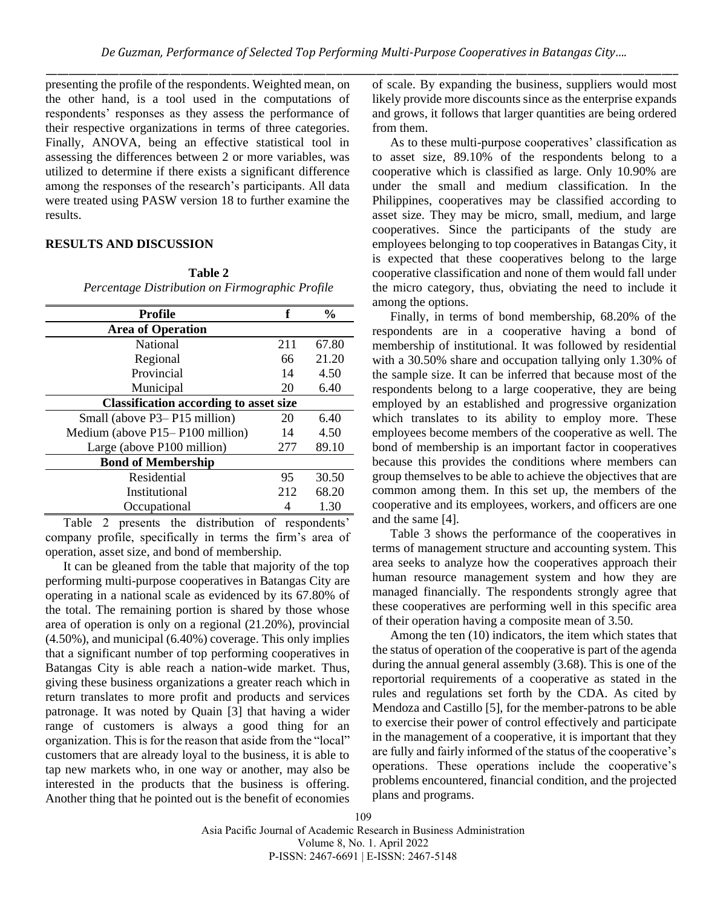presenting the profile of the respondents. Weighted mean, on the other hand, is a tool used in the computations of respondents' responses as they assess the performance of their respective organizations in terms of three categories. Finally, ANOVA, being an effective statistical tool in assessing the differences between 2 or more variables, was utilized to determine if there exists a significant difference among the responses of the research's participants. All data were treated using PASW version 18 to further examine the results.

## **RESULTS AND DISCUSSION**

# **Table 2** *Percentage Distribution on Firmographic Profile*

| <b>Profile</b>                                | f   | $\frac{0}{0}$ |  |  |  |
|-----------------------------------------------|-----|---------------|--|--|--|
| <b>Area of Operation</b>                      |     |               |  |  |  |
| National                                      | 211 | 67.80         |  |  |  |
| Regional                                      | 66  | 21.20         |  |  |  |
| Provincial                                    | 14  | 4.50          |  |  |  |
| Municipal                                     | 20  | 6.40          |  |  |  |
| <b>Classification according to asset size</b> |     |               |  |  |  |
| Small (above P3– P15 million)                 | 20  | 6.40          |  |  |  |
| Medium (above $P15 - P100$ million)           | 14  | 4.50          |  |  |  |
| Large (above P100 million)                    | 277 | 89.10         |  |  |  |
| <b>Bond of Membership</b>                     |     |               |  |  |  |
| Residential                                   | 95  | 30.50         |  |  |  |
| Institutional                                 | 212 | 68.20         |  |  |  |
| Occupational                                  |     | 1.30          |  |  |  |

Table 2 presents the distribution of respondents' company profile, specifically in terms the firm's area of operation, asset size, and bond of membership.

It can be gleaned from the table that majority of the top performing multi-purpose cooperatives in Batangas City are operating in a national scale as evidenced by its 67.80% of the total. The remaining portion is shared by those whose area of operation is only on a regional (21.20%), provincial (4.50%), and municipal (6.40%) coverage. This only implies that a significant number of top performing cooperatives in Batangas City is able reach a nation-wide market. Thus, giving these business organizations a greater reach which in return translates to more profit and products and services patronage. It was noted by Quain [3] that having a wider range of customers is always a good thing for an organization. This is for the reason that aside from the "local" customers that are already loyal to the business, it is able to tap new markets who, in one way or another, may also be interested in the products that the business is offering. Another thing that he pointed out is the benefit of economies

of scale. By expanding the business, suppliers would most likely provide more discounts since as the enterprise expands and grows, it follows that larger quantities are being ordered from them.

As to these multi-purpose cooperatives' classification as to asset size, 89.10% of the respondents belong to a cooperative which is classified as large. Only 10.90% are under the small and medium classification. In the Philippines, cooperatives may be classified according to asset size. They may be micro, small, medium, and large cooperatives. Since the participants of the study are employees belonging to top cooperatives in Batangas City, it is expected that these cooperatives belong to the large cooperative classification and none of them would fall under the micro category, thus, obviating the need to include it among the options.

Finally, in terms of bond membership, 68.20% of the respondents are in a cooperative having a bond of membership of institutional. It was followed by residential with a 30.50% share and occupation tallying only 1.30% of the sample size. It can be inferred that because most of the respondents belong to a large cooperative, they are being employed by an established and progressive organization which translates to its ability to employ more. These employees become members of the cooperative as well. The bond of membership is an important factor in cooperatives because this provides the conditions where members can group themselves to be able to achieve the objectives that are common among them. In this set up, the members of the cooperative and its employees, workers, and officers are one and the same [4].

Table 3 shows the performance of the cooperatives in terms of management structure and accounting system. This area seeks to analyze how the cooperatives approach their human resource management system and how they are managed financially. The respondents strongly agree that these cooperatives are performing well in this specific area of their operation having a composite mean of 3.50.

Among the ten (10) indicators, the item which states that the status of operation of the cooperative is part of the agenda during the annual general assembly (3.68). This is one of the reportorial requirements of a cooperative as stated in the rules and regulations set forth by the CDA. As cited by Mendoza and Castillo [5], for the member-patrons to be able to exercise their power of control effectively and participate in the management of a cooperative, it is important that they are fully and fairly informed of the status of the cooperative's operations. These operations include the cooperative's problems encountered, financial condition, and the projected plans and programs.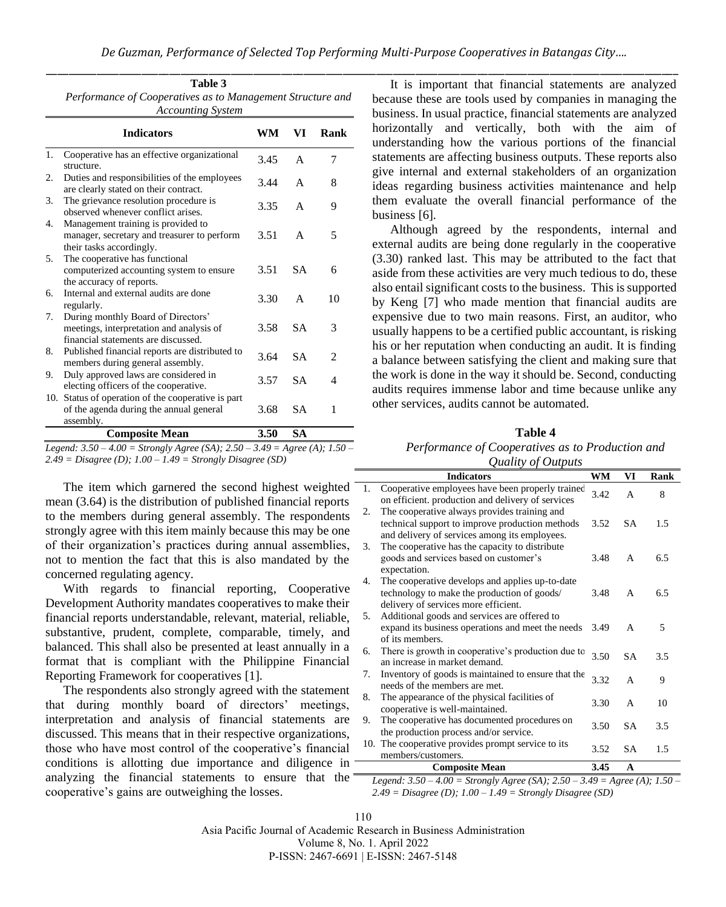|    | Table 3<br>Performance of Cooperatives as to Management Structure and<br><b>Accounting System</b>                     |      |           |                |  |
|----|-----------------------------------------------------------------------------------------------------------------------|------|-----------|----------------|--|
|    | <b>Indicators</b>                                                                                                     | WM   | VI        | Rank           |  |
| 1. | Cooperative has an effective organizational<br>structure.                                                             | 3.45 | A         | 7              |  |
| 2. | Duties and responsibilities of the employees<br>are clearly stated on their contract.                                 | 3.44 | A         | 8              |  |
| 3. | The grievance resolution procedure is<br>observed whenever conflict arises.                                           | 3.35 | A         | 9              |  |
| 4. | Management training is provided to<br>manager, secretary and treasurer to perform<br>their tasks accordingly.         | 3.51 | A         | 5              |  |
| 5. | The cooperative has functional<br>computerized accounting system to ensure<br>the accuracy of reports.                | 3.51 | <b>SA</b> | 6              |  |
| б. | Internal and external audits are done<br>regularly.                                                                   | 3.30 | A         | 10             |  |
| 7. | During monthly Board of Directors'<br>meetings, interpretation and analysis of<br>financial statements are discussed. | 3.58 | <b>SA</b> | 3              |  |
| 8. | Published financial reports are distributed to<br>members during general assembly.                                    | 3.64 | <b>SA</b> | $\overline{c}$ |  |
| 9. | Duly approved laws are considered in<br>electing officers of the cooperative.                                         | 3.57 | <b>SA</b> | 4              |  |
|    | 10. Status of operation of the cooperative is part<br>of the agenda during the annual general<br>assembly.            | 3.68 | <b>SA</b> | 1              |  |
|    | <b>Composite Mean</b>                                                                                                 | 3.50 | SA        |                |  |

*Legend: 3.50 – 4.00 = Strongly Agree (SA); 2.50 – 3.49 = Agree (A); 1.50 – 2.49 = Disagree (D); 1.00 – 1.49 = Strongly Disagree (SD)*

The item which garnered the second highest weighted mean (3.64) is the distribution of published financial reports to the members during general assembly. The respondents strongly agree with this item mainly because this may be one of their organization's practices during annual assemblies, not to mention the fact that this is also mandated by the concerned regulating agency.

With regards to financial reporting, Cooperative Development Authority mandates cooperatives to make their financial reports understandable, relevant, material, reliable, substantive, prudent, complete, comparable, timely, and balanced. This shall also be presented at least annually in a format that is compliant with the Philippine Financial Reporting Framework for cooperatives [1].

The respondents also strongly agreed with the statement that during monthly board of directors' meetings, interpretation and analysis of financial statements are discussed. This means that in their respective organizations, those who have most control of the cooperative's financial conditions is allotting due importance and diligence in  $=$ analyzing the financial statements to ensure that the cooperative's gains are outweighing the losses.

It is important that financial statements are analyzed because these are tools used by companies in managing the business. In usual practice, financial statements are analyzed horizontally and vertically, both with the aim of understanding how the various portions of the financial statements are affecting business outputs. These reports also give internal and external stakeholders of an organization ideas regarding business activities maintenance and help them evaluate the overall financial performance of the business [6].

Although agreed by the respondents, internal and external audits are being done regularly in the cooperative (3.30) ranked last. This may be attributed to the fact that aside from these activities are very much tedious to do, these also entail significant costs to the business. This is supported by Keng [7] who made mention that financial audits are expensive due to two main reasons. First, an auditor, who usually happens to be a certified public accountant, is risking his or her reputation when conducting an audit. It is finding a balance between satisfying the client and making sure that the work is done in the way it should be. Second, conducting audits requires immense labor and time because unlike any other services, audits cannot be automated.

**Table 4** *Performance of Cooperatives as to Production and* 

|    | Quality of Outputs                                                                                                                               |      |           |      |  |
|----|--------------------------------------------------------------------------------------------------------------------------------------------------|------|-----------|------|--|
|    | <b>Indicators</b>                                                                                                                                | WM   | VI        | Rank |  |
| 1. | Cooperative employees have been properly trained<br>on efficient. production and delivery of services                                            | 3.42 | A         | 8    |  |
| 2. | The cooperative always provides training and<br>technical support to improve production methods<br>and delivery of services among its employees. | 3.52 | <b>SA</b> | 1.5  |  |
| 3. | The cooperative has the capacity to distribute<br>goods and services based on customer's<br>expectation.                                         | 3.48 | A         | 6.5  |  |
| 4. | The cooperative develops and applies up-to-date<br>technology to make the production of goods/<br>delivery of services more efficient.           | 3.48 | A         | 6.5  |  |
| 5. | Additional goods and services are offered to<br>expand its business operations and meet the needs<br>of its members.                             | 3.49 | A         | 5    |  |
| 6. | There is growth in cooperative's production due to<br>an increase in market demand.                                                              | 3.50 | <b>SA</b> | 3.5  |  |
| 7. | Inventory of goods is maintained to ensure that the<br>needs of the members are met.                                                             | 3.32 | A         | 9    |  |
| 8. | The appearance of the physical facilities of<br>cooperative is well-maintained.                                                                  | 3.30 | A         | 10   |  |
| 9. | The cooperative has documented procedures on<br>the production process and/or service.                                                           | 3.50 | <b>SA</b> | 3.5  |  |
|    | 10. The cooperative provides prompt service to its<br>members/customers.                                                                         | 3.52 | <b>SA</b> | 1.5  |  |
|    | <b>Composite Mean</b>                                                                                                                            | 3.45 | A         |      |  |
|    | Legend: $3.50 - 4.00 =$ Strongly Agree (SA); $2.50 - 3.49 =$ Agree (A); $1.50 -$                                                                 |      |           |      |  |

*2.49 = Disagree (D); 1.00 – 1.49 = Strongly Disagree (SD)*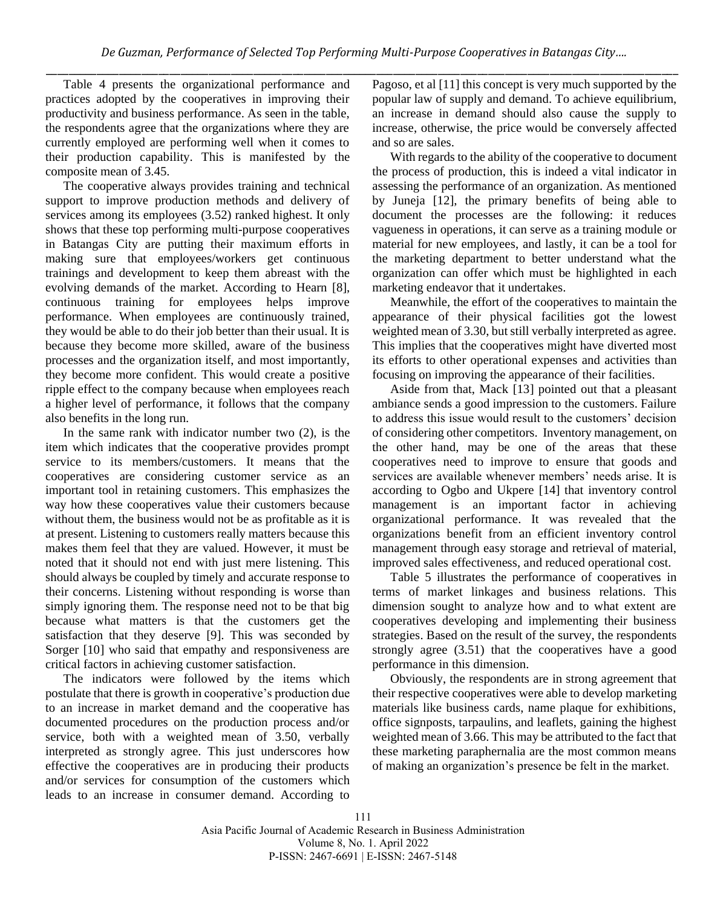Table 4 presents the organizational performance and practices adopted by the cooperatives in improving their productivity and business performance. As seen in the table, the respondents agree that the organizations where they are currently employed are performing well when it comes to their production capability. This is manifested by the composite mean of 3.45.

The cooperative always provides training and technical support to improve production methods and delivery of services among its employees (3.52) ranked highest. It only shows that these top performing multi-purpose cooperatives in Batangas City are putting their maximum efforts in making sure that employees/workers get continuous trainings and development to keep them abreast with the evolving demands of the market. According to Hearn [8], continuous training for employees helps improve performance. When employees are continuously trained, they would be able to do their job better than their usual. It is because they become more skilled, aware of the business processes and the organization itself, and most importantly, they become more confident. This would create a positive ripple effect to the company because when employees reach a higher level of performance, it follows that the company also benefits in the long run.

In the same rank with indicator number two  $(2)$ , is the item which indicates that the cooperative provides prompt service to its members/customers. It means that the cooperatives are considering customer service as an important tool in retaining customers. This emphasizes the way how these cooperatives value their customers because without them, the business would not be as profitable as it is at present. Listening to customers really matters because this makes them feel that they are valued. However, it must be noted that it should not end with just mere listening. This should always be coupled by timely and accurate response to their concerns. Listening without responding is worse than simply ignoring them. The response need not to be that big because what matters is that the customers get the satisfaction that they deserve [9]. This was seconded by Sorger [10] who said that empathy and responsiveness are critical factors in achieving customer satisfaction.

The indicators were followed by the items which postulate that there is growth in cooperative's production due to an increase in market demand and the cooperative has documented procedures on the production process and/or service, both with a weighted mean of 3.50, verbally interpreted as strongly agree. This just underscores how effective the cooperatives are in producing their products and/or services for consumption of the customers which leads to an increase in consumer demand. According to

Pagoso, et al [11] this concept is very much supported by the popular law of supply and demand. To achieve equilibrium, an increase in demand should also cause the supply to increase, otherwise, the price would be conversely affected and so are sales.

With regards to the ability of the cooperative to document the process of production, this is indeed a vital indicator in assessing the performance of an organization. As mentioned by Juneja [12], the primary benefits of being able to document the processes are the following: it reduces vagueness in operations, it can serve as a training module or material for new employees, and lastly, it can be a tool for the marketing department to better understand what the organization can offer which must be highlighted in each marketing endeavor that it undertakes.

Meanwhile, the effort of the cooperatives to maintain the appearance of their physical facilities got the lowest weighted mean of 3.30, but still verbally interpreted as agree. This implies that the cooperatives might have diverted most its efforts to other operational expenses and activities than focusing on improving the appearance of their facilities.

Aside from that, Mack [13] pointed out that a pleasant ambiance sends a good impression to the customers. Failure to address this issue would result to the customers' decision of considering other competitors. Inventory management, on the other hand, may be one of the areas that these cooperatives need to improve to ensure that goods and services are available whenever members' needs arise. It is according to Ogbo and Ukpere [14] that inventory control management is an important factor in achieving organizational performance. It was revealed that the organizations benefit from an efficient inventory control management through easy storage and retrieval of material, improved sales effectiveness, and reduced operational cost.

Table 5 illustrates the performance of cooperatives in terms of market linkages and business relations. This dimension sought to analyze how and to what extent are cooperatives developing and implementing their business strategies. Based on the result of the survey, the respondents strongly agree (3.51) that the cooperatives have a good performance in this dimension.

Obviously, the respondents are in strong agreement that their respective cooperatives were able to develop marketing materials like business cards, name plaque for exhibitions, office signposts, tarpaulins, and leaflets, gaining the highest weighted mean of 3.66. This may be attributed to the fact that these marketing paraphernalia are the most common means of making an organization's presence be felt in the market.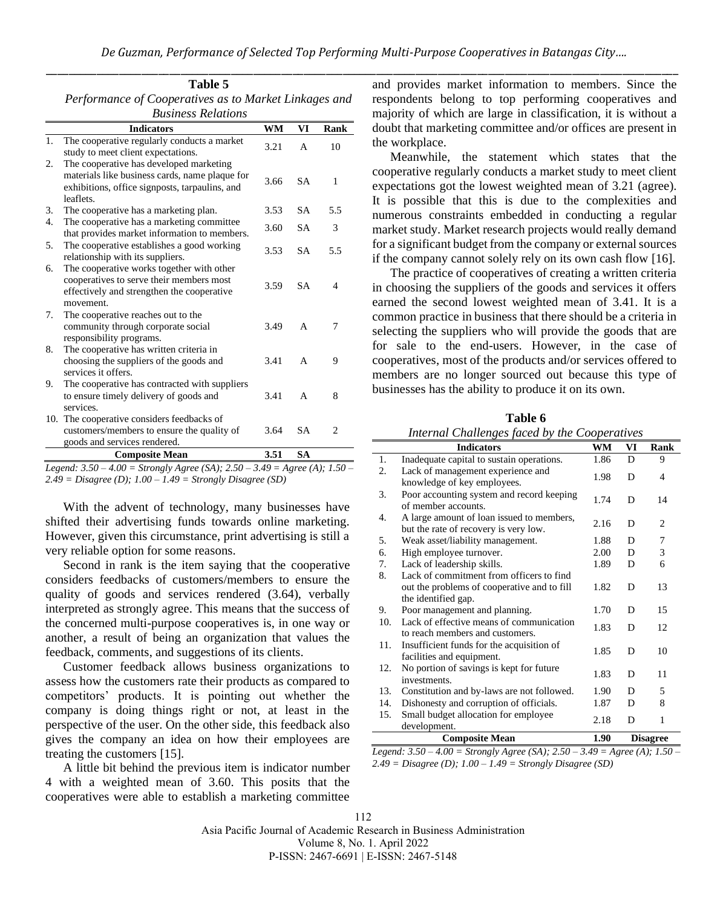| Performance of Cooperatives as to Market Linkages and<br><b>Business Relations</b><br><b>WM</b><br>VI<br><b>Indicators</b><br>1.<br>The cooperative regularly conducts a market<br>3.21<br>10<br>A<br>study to meet client expectations.<br>The cooperative has developed marketing<br>2.<br>materials like business cards, name plaque for<br>3.66<br><b>SA</b><br>1<br>exhibitions, office signposts, tarpaulins, and<br>leaflets.<br><b>SA</b><br>5.5<br>3.<br>The cooperative has a marketing plan.<br>3.53<br>4.<br>The cooperative has a marketing committee.<br>3.60<br><b>SA</b><br>3<br>that provides market information to members.<br>The cooperative establishes a good working<br>5.<br><b>SA</b><br>5.5<br>3.53<br>relationship with its suppliers.<br>The cooperative works together with other<br>6.<br>cooperatives to serve their members most<br><b>SA</b><br>$\overline{4}$<br>3.59<br>effectively and strengthen the cooperative<br>movement.<br>The cooperative reaches out to the<br>7.<br>3.49<br>community through corporate social<br>7<br>A<br>responsibility programs.<br>The cooperative has written criteria in<br>8.<br>choosing the suppliers of the goods and<br>3.41<br>9<br>A<br>services it offers.<br>The cooperative has contracted with suppliers<br>9.<br>to ensure timely delivery of goods and<br>3.41<br>8<br>A<br>services.<br>The cooperative considers feedbacks of<br>10.<br>customers/members to ensure the quality of<br>3.64<br>SA<br>2 | Table 5                      |  |             |
|-------------------------------------------------------------------------------------------------------------------------------------------------------------------------------------------------------------------------------------------------------------------------------------------------------------------------------------------------------------------------------------------------------------------------------------------------------------------------------------------------------------------------------------------------------------------------------------------------------------------------------------------------------------------------------------------------------------------------------------------------------------------------------------------------------------------------------------------------------------------------------------------------------------------------------------------------------------------------------------------------------------------------------------------------------------------------------------------------------------------------------------------------------------------------------------------------------------------------------------------------------------------------------------------------------------------------------------------------------------------------------------------------------------------------------------------------------------------------------------------|------------------------------|--|-------------|
|                                                                                                                                                                                                                                                                                                                                                                                                                                                                                                                                                                                                                                                                                                                                                                                                                                                                                                                                                                                                                                                                                                                                                                                                                                                                                                                                                                                                                                                                                           |                              |  |             |
|                                                                                                                                                                                                                                                                                                                                                                                                                                                                                                                                                                                                                                                                                                                                                                                                                                                                                                                                                                                                                                                                                                                                                                                                                                                                                                                                                                                                                                                                                           |                              |  |             |
|                                                                                                                                                                                                                                                                                                                                                                                                                                                                                                                                                                                                                                                                                                                                                                                                                                                                                                                                                                                                                                                                                                                                                                                                                                                                                                                                                                                                                                                                                           |                              |  | <b>Rank</b> |
|                                                                                                                                                                                                                                                                                                                                                                                                                                                                                                                                                                                                                                                                                                                                                                                                                                                                                                                                                                                                                                                                                                                                                                                                                                                                                                                                                                                                                                                                                           |                              |  |             |
|                                                                                                                                                                                                                                                                                                                                                                                                                                                                                                                                                                                                                                                                                                                                                                                                                                                                                                                                                                                                                                                                                                                                                                                                                                                                                                                                                                                                                                                                                           |                              |  |             |
|                                                                                                                                                                                                                                                                                                                                                                                                                                                                                                                                                                                                                                                                                                                                                                                                                                                                                                                                                                                                                                                                                                                                                                                                                                                                                                                                                                                                                                                                                           |                              |  |             |
|                                                                                                                                                                                                                                                                                                                                                                                                                                                                                                                                                                                                                                                                                                                                                                                                                                                                                                                                                                                                                                                                                                                                                                                                                                                                                                                                                                                                                                                                                           |                              |  |             |
|                                                                                                                                                                                                                                                                                                                                                                                                                                                                                                                                                                                                                                                                                                                                                                                                                                                                                                                                                                                                                                                                                                                                                                                                                                                                                                                                                                                                                                                                                           |                              |  |             |
|                                                                                                                                                                                                                                                                                                                                                                                                                                                                                                                                                                                                                                                                                                                                                                                                                                                                                                                                                                                                                                                                                                                                                                                                                                                                                                                                                                                                                                                                                           |                              |  |             |
|                                                                                                                                                                                                                                                                                                                                                                                                                                                                                                                                                                                                                                                                                                                                                                                                                                                                                                                                                                                                                                                                                                                                                                                                                                                                                                                                                                                                                                                                                           |                              |  |             |
|                                                                                                                                                                                                                                                                                                                                                                                                                                                                                                                                                                                                                                                                                                                                                                                                                                                                                                                                                                                                                                                                                                                                                                                                                                                                                                                                                                                                                                                                                           |                              |  |             |
|                                                                                                                                                                                                                                                                                                                                                                                                                                                                                                                                                                                                                                                                                                                                                                                                                                                                                                                                                                                                                                                                                                                                                                                                                                                                                                                                                                                                                                                                                           |                              |  |             |
|                                                                                                                                                                                                                                                                                                                                                                                                                                                                                                                                                                                                                                                                                                                                                                                                                                                                                                                                                                                                                                                                                                                                                                                                                                                                                                                                                                                                                                                                                           | goods and services rendered. |  |             |
| 3.51<br><b>SA</b><br><b>Composite Mean</b>                                                                                                                                                                                                                                                                                                                                                                                                                                                                                                                                                                                                                                                                                                                                                                                                                                                                                                                                                                                                                                                                                                                                                                                                                                                                                                                                                                                                                                                |                              |  |             |

*Legend: 3.50 – 4.00 = Strongly Agree (SA); 2.50 – 3.49 = Agree (A); 1.50 – 2.49 = Disagree (D); 1.00 – 1.49 = Strongly Disagree (SD)*

With the advent of technology, many businesses have shifted their advertising funds towards online marketing. However, given this circumstance, print advertising is still a very reliable option for some reasons.

Second in rank is the item saying that the cooperative considers feedbacks of customers/members to ensure the quality of goods and services rendered (3.64), verbally interpreted as strongly agree. This means that the success of the concerned multi-purpose cooperatives is, in one way or another, a result of being an organization that values the feedback, comments, and suggestions of its clients.

Customer feedback allows business organizations to assess how the customers rate their products as compared to competitors' products. It is pointing out whether the company is doing things right or not, at least in the perspective of the user. On the other side, this feedback also gives the company an idea on how their employees are treating the customers [15].

A little bit behind the previous item is indicator number 4 with a weighted mean of 3.60. This posits that the cooperatives were able to establish a marketing committee

and provides market information to members. Since the respondents belong to top performing cooperatives and majority of which are large in classification, it is without a doubt that marketing committee and/or offices are present in the workplace.

Meanwhile, the statement which states that the cooperative regularly conducts a market study to meet client expectations got the lowest weighted mean of 3.21 (agree). It is possible that this is due to the complexities and numerous constraints embedded in conducting a regular market study. Market research projects would really demand for a significant budget from the company or external sources if the company cannot solely rely on its own cash flow [16].

The practice of cooperatives of creating a written criteria in choosing the suppliers of the goods and services it offers earned the second lowest weighted mean of 3.41. It is a common practice in business that there should be a criteria in selecting the suppliers who will provide the goods that are for sale to the end-users. However, in the case of cooperatives, most of the products and/or services offered to members are no longer sourced out because this type of businesses has the ability to produce it on its own.

**Table 6**

|     | Internal Challenges faced by the Cooperatives                                      |      |    |                |  |  |
|-----|------------------------------------------------------------------------------------|------|----|----------------|--|--|
|     | <b>Indicators</b>                                                                  | WM   | VI | Rank           |  |  |
| 1.  | Inadequate capital to sustain operations.                                          | 1.86 | D  | 9              |  |  |
| 2.  | Lack of management experience and<br>knowledge of key employees.                   | 1.98 | D  | 4              |  |  |
| 3.  | Poor accounting system and record keeping<br>of member accounts.                   | 1.74 | D  | 14             |  |  |
| 4.  | A large amount of loan issued to members,<br>but the rate of recovery is very low. | 2.16 | D  | $\overline{2}$ |  |  |
| 5.  | Weak asset/liability management.                                                   | 1.88 | D  | 7              |  |  |
| 6.  | High employee turnover.                                                            | 2.00 | D  | 3              |  |  |
| 7.  | Lack of leadership skills.                                                         | 1.89 | D  | 6              |  |  |
| 8.  | Lack of commitment from officers to find                                           |      |    |                |  |  |
|     | out the problems of cooperative and to fill                                        | 1.82 | D  | 13             |  |  |
|     | the identified gap.                                                                |      |    |                |  |  |
| 9.  | Poor management and planning.                                                      | 1.70 | D  | 15             |  |  |
| 10. | Lack of effective means of communication<br>to reach members and customers.        | 1.83 | D  | 12             |  |  |
| 11. | Insufficient funds for the acquisition of<br>facilities and equipment.             | 1.85 | D  | 10             |  |  |
| 12. | No portion of savings is kept for future<br>investments.                           | 1.83 | D  | 11             |  |  |
| 13. | Constitution and by-laws are not followed.                                         | 1.90 | D  | 5              |  |  |
| 14. | Dishonesty and corruption of officials.                                            | 1.87 | D  | 8              |  |  |
| 15. | Small budget allocation for employee<br>development.                               | 2.18 | D  | 1              |  |  |
|     | <b>Composite Mean</b><br>1.90<br><b>Disagree</b>                                   |      |    |                |  |  |

*Legend: 3.50 – 4.00 = Strongly Agree (SA); 2.50 – 3.49 = Agree (A); 1.50 – 2.49 = Disagree (D); 1.00 – 1.49 = Strongly Disagree (SD)*

112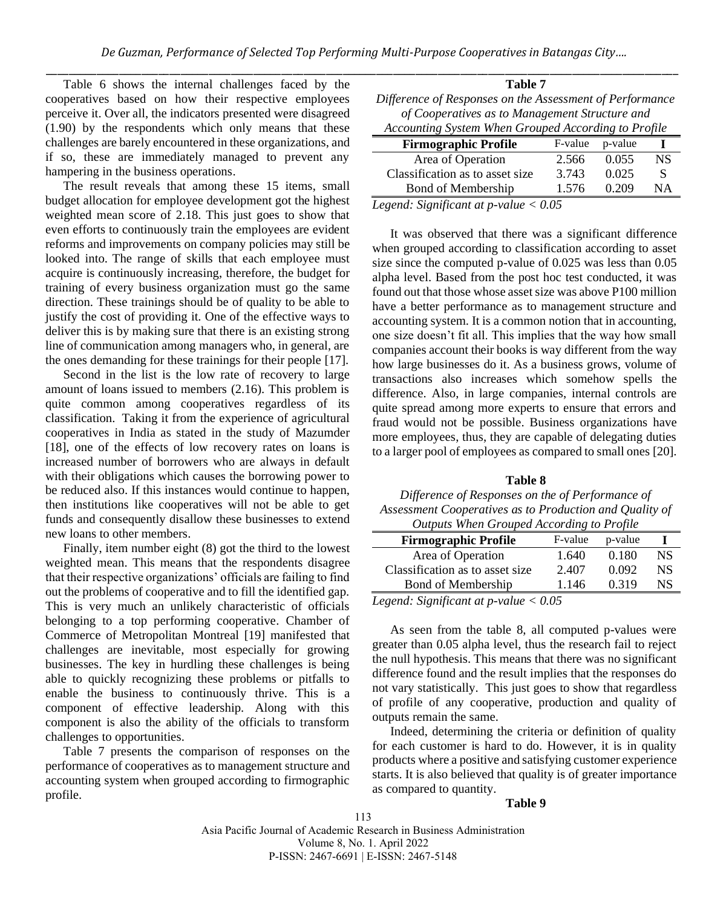Table 6 shows the internal challenges faced by the cooperatives based on how their respective employees perceive it. Over all, the indicators presented were disagreed (1.90) by the respondents which only means that these challenges are barely encountered in these organizations, and if so, these are immediately managed to prevent any hampering in the business operations.

The result reveals that among these 15 items, small budget allocation for employee development got the highest weighted mean score of 2.18. This just goes to show that even efforts to continuously train the employees are evident reforms and improvements on company policies may still be looked into. The range of skills that each employee must acquire is continuously increasing, therefore, the budget for training of every business organization must go the same direction. These trainings should be of quality to be able to justify the cost of providing it. One of the effective ways to deliver this is by making sure that there is an existing strong line of communication among managers who, in general, are the ones demanding for these trainings for their people [17].

Second in the list is the low rate of recovery to large amount of loans issued to members (2.16). This problem is quite common among cooperatives regardless of its classification. Taking it from the experience of agricultural cooperatives in India as stated in the study of Mazumder [18], one of the effects of low recovery rates on loans is increased number of borrowers who are always in default with their obligations which causes the borrowing power to be reduced also. If this instances would continue to happen, then institutions like cooperatives will not be able to get funds and consequently disallow these businesses to extend new loans to other members.

Finally, item number eight (8) got the third to the lowest weighted mean. This means that the respondents disagree that their respective organizations' officials are failing to find out the problems of cooperative and to fill the identified gap. This is very much an unlikely characteristic of officials belonging to a top performing cooperative. Chamber of Commerce of Metropolitan Montreal [19] manifested that challenges are inevitable, most especially for growing businesses. The key in hurdling these challenges is being able to quickly recognizing these problems or pitfalls to enable the business to continuously thrive. This is a component of effective leadership. Along with this component is also the ability of the officials to transform challenges to opportunities.

Table 7 presents the comparison of responses on the performance of cooperatives as to management structure and accounting system when grouped according to firmographic profile.

| Table 7                                                  |                 |          |  |  |
|----------------------------------------------------------|-----------------|----------|--|--|
| Difference of Responses on the Assessment of Performance |                 |          |  |  |
| of Cooperatives as to Management Structure and           |                 |          |  |  |
| Accounting System When Grouped According to Profile      |                 |          |  |  |
| <b>Firmographic Profile</b>                              | F-value         | p-value  |  |  |
|                                                          | $\sim$ = $\sim$ | $\Omega$ |  |  |

Area of Operation 2.566 0.055 NS Classification as to asset size  $3.743$  0.025 S Bond of Membership 1.576 0.209 NA *Legend: Significant at p-value < 0.05*

It was observed that there was a significant difference when grouped according to classification according to asset size since the computed p-value of 0.025 was less than 0.05 alpha level. Based from the post hoc test conducted, it was found out that those whose asset size was above P100 million have a better performance as to management structure and accounting system. It is a common notion that in accounting, one size doesn't fit all. This implies that the way how small companies account their books is way different from the way how large businesses do it. As a business grows, volume of transactions also increases which somehow spells the difference. Also, in large companies, internal controls are quite spread among more experts to ensure that errors and fraud would not be possible. Business organizations have more employees, thus, they are capable of delegating duties to a larger pool of employees as compared to small ones [20].

#### **Table 8**

#### *Difference of Responses on the of Performance of Assessment Cooperatives as to Production and Quality of Outputs When Grouped According to Profile*

| <i>Outputs</i> when Orouped Hecording to Frome |         |         |     |
|------------------------------------------------|---------|---------|-----|
| <b>Firmographic Profile</b>                    | F-value | p-value |     |
| Area of Operation                              | 1.640   | 0.180   | NS. |
| Classification as to asset size                | 2.407   | 0.092   | NS. |
| Bond of Membership                             | 1.146   | 0.319   | NS  |
| $\sim$                                         |         |         |     |

*Legend: Significant at p-value < 0.05*

As seen from the table 8, all computed p-values were greater than 0.05 alpha level, thus the research fail to reject the null hypothesis. This means that there was no significant difference found and the result implies that the responses do not vary statistically. This just goes to show that regardless of profile of any cooperative, production and quality of outputs remain the same.

Indeed, determining the criteria or definition of quality for each customer is hard to do. However, it is in quality products where a positive and satisfying customer experience starts. It is also believed that quality is of greater importance as compared to quantity.

#### **Table 9**

113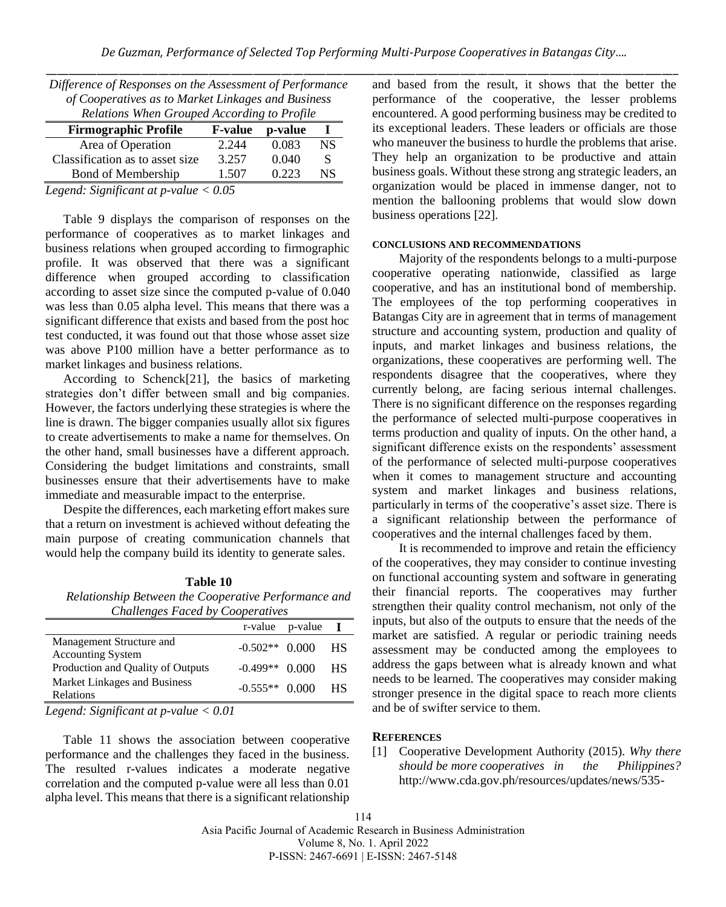| Difference of Responses on the Assessment of Performance<br>of Cooperatives as to Market Linkages and Business<br>Relations When Grouped According to Profile |                      |         |    |  |
|---------------------------------------------------------------------------------------------------------------------------------------------------------------|----------------------|---------|----|--|
| <b>Firmographic Profile</b>                                                                                                                                   | <b>F-value</b>       | p-value |    |  |
| Area of Operation                                                                                                                                             | 2.244                | 0.083   | NS |  |
| Classification as to asset size.                                                                                                                              | 3.257                | 0.040   | S  |  |
| Bond of Membership                                                                                                                                            | 1.507                | 0.223   | NS |  |
| $\sim$<br>$-$<br>$-$                                                                                                                                          | $\sim$ $\sim$ $\sim$ |         |    |  |

*Legend: Significant at p-value < 0.05*

Table 9 displays the comparison of responses on the performance of cooperatives as to market linkages and business relations when grouped according to firmographic profile. It was observed that there was a significant difference when grouped according to classification according to asset size since the computed p-value of 0.040 was less than 0.05 alpha level. This means that there was a significant difference that exists and based from the post hoc test conducted, it was found out that those whose asset size was above P100 million have a better performance as to market linkages and business relations.

According to Schenck[21], the basics of marketing strategies don't differ between small and big companies. However, the factors underlying these strategies is where the line is drawn. The bigger companies usually allot six figures to create advertisements to make a name for themselves. On the other hand, small businesses have a different approach. Considering the budget limitations and constraints, small businesses ensure that their advertisements have to make immediate and measurable impact to the enterprise.

Despite the differences, each marketing effort makes sure that a return on investment is achieved without defeating the main purpose of creating communication channels that would help the company build its identity to generate sales.

|  | Table 10 |  |
|--|----------|--|
|  |          |  |

*Relationship Between the Cooperative Performance and Challenges Faced by Cooperatives*

|                                                      |                  | $r$ -value $p$ -value $\bf{I}$ |      |
|------------------------------------------------------|------------------|--------------------------------|------|
| Management Structure and<br><b>Accounting System</b> | $-0.502**$ 0.000 |                                | - HS |
| Production and Quality of Outputs                    | $-0.499**$ 0.000 |                                | - HS |
| Market Linkages and Business<br>Relations            | $-0.555**$ 0.000 |                                | - HS |
| Logard: Significant at purchase $\epsilon$ 0.01      |                  |                                |      |

*Legend: Significant at p-value < 0.01*

Table 11 shows the association between cooperative performance and the challenges they faced in the business. The resulted r-values indicates a moderate negative correlation and the computed p-value were all less than 0.01 alpha level. This means that there is a significant relationship

and based from the result, it shows that the better the performance of the cooperative, the lesser problems encountered. A good performing business may be credited to its exceptional leaders. These leaders or officials are those who maneuver the business to hurdle the problems that arise. They help an organization to be productive and attain business goals. Without these strong ang strategic leaders, an organization would be placed in immense danger, not to mention the ballooning problems that would slow down business operations [22].

## **CONCLUSIONS AND RECOMMENDATIONS**

Majority of the respondents belongs to a multi-purpose cooperative operating nationwide, classified as large cooperative, and has an institutional bond of membership. The employees of the top performing cooperatives in Batangas City are in agreement that in terms of management structure and accounting system, production and quality of inputs, and market linkages and business relations, the organizations, these cooperatives are performing well. The respondents disagree that the cooperatives, where they currently belong, are facing serious internal challenges. There is no significant difference on the responses regarding the performance of selected multi-purpose cooperatives in terms production and quality of inputs. On the other hand, a significant difference exists on the respondents' assessment of the performance of selected multi-purpose cooperatives when it comes to management structure and accounting system and market linkages and business relations, particularly in terms of the cooperative's asset size. There is a significant relationship between the performance of cooperatives and the internal challenges faced by them.

It is recommended to improve and retain the efficiency of the cooperatives, they may consider to continue investing on functional accounting system and software in generating their financial reports. The cooperatives may further strengthen their quality control mechanism, not only of the inputs, but also of the outputs to ensure that the needs of the market are satisfied. A regular or periodic training needs assessment may be conducted among the employees to address the gaps between what is already known and what needs to be learned. The cooperatives may consider making stronger presence in the digital space to reach more clients and be of swifter service to them.

#### **REFERENCES**

[1] Cooperative Development Authority (2015). *Why there should be more cooperatives in the Philippines?* http://www.cda.gov.ph/resources/updates/news/535-